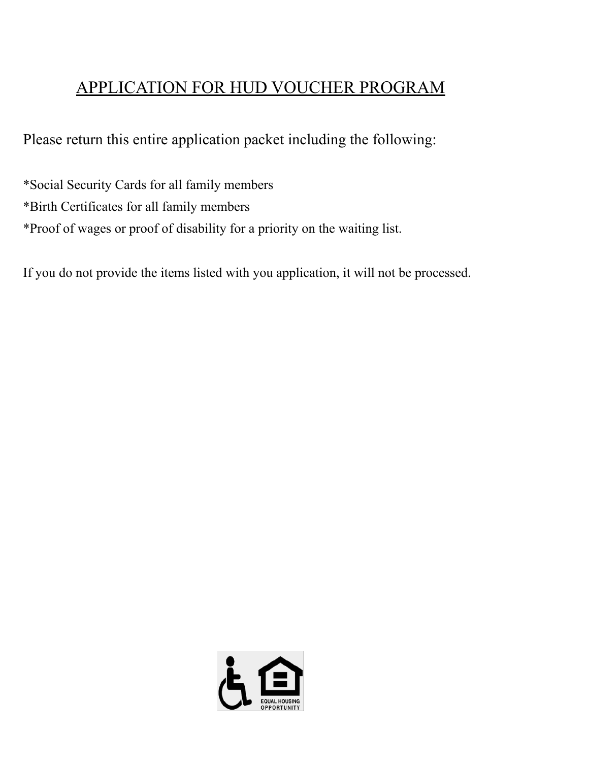# APPLICATION FOR HUD VOUCHER PROGRAM

Please return this entire application packet including the following:

\*Social Security Cards for all family members \*Birth Certificates for all family members \*Proof of wages or proof of disability for a priority on the waiting list.

If you do not provide the items listed with you application, it will not be processed.

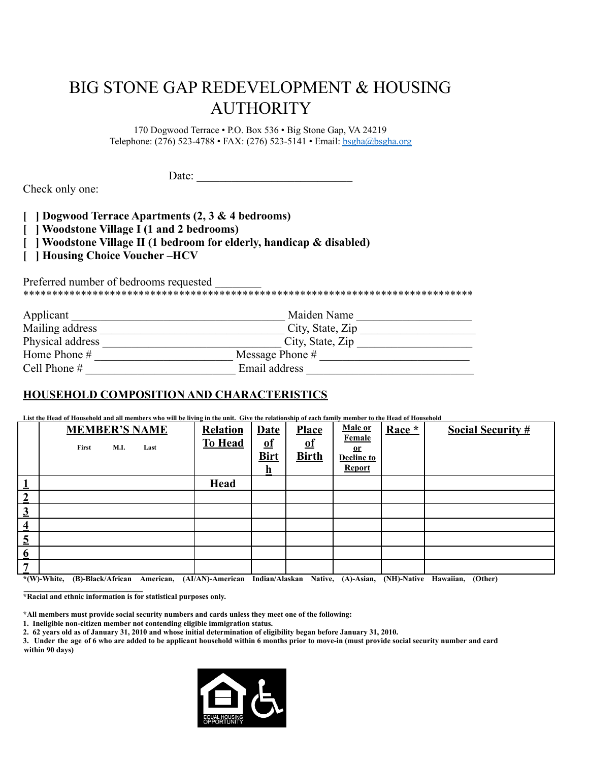# BIG STONE GAP REDEVELOPMENT & HOUSING AUTHORITY

170 Dogwood Terrace • P.O. Box 536 • Big Stone Gap, VA 24219 Telephone: (276) 523-4788 • FAX: (276) 523-5141 • Email: [bsgha@bsgha.org](mailto:bsgha@bsgha.org)

Date:

Check only one:

**[ ] Dogwood Terrace Apartments (2, 3 & 4 bedrooms)**

**[ ] Woodstone Village I (1 and 2 bedrooms)**

- **[ ] Woodstone Village II (1 bedroom for elderly, handicap & disabled)**
- **[ ] Housing Choice Voucher –HCV**

Preferred number of bedrooms requested \*\*\*\*\*\*\*\*\*\*\*\*\*\*\*\*\*\*\*\*\*\*\*\*\*\*\*\*\*\*\*\*\*\*\*\*\*\*\*\*\*\*\*\*\*\*\*\*\*\*\*\*\*\*\*\*\*\*\*\*\*\*\*\*\*\*\*\*\*\*\*\*\*\*\*\*\*\*

| Applicant        | Maiden Name       |
|------------------|-------------------|
| Mailing address  | City, State, Zip  |
| Physical address | City, State, Zip  |
| Home Phone #     | Message Phone $#$ |
| Cell Phone $#$   | Email address     |

# **HOUSEHOLD COMPOSITION AND CHARACTERISTICS**

List the Head of Household and all members who will be living in the unit. Give the relationship of each family member to the Head of Household

|                         | <b>MEMBER'S NAME</b><br><b>M.I.</b><br>First<br>Last                                                                                                          | <b>Relation</b><br><b>To Head</b> | <b>Date</b><br>$\overline{\textbf{0}}$ f<br><b>Birt</b> | <b>Place</b><br><u>of</u><br><b>Birth</b> | <b>Male or</b><br>Female<br><u>or</u><br><b>Decline to</b><br><b>Report</b> | Race * | <b>Social Security #</b> |
|-------------------------|---------------------------------------------------------------------------------------------------------------------------------------------------------------|-----------------------------------|---------------------------------------------------------|-------------------------------------------|-----------------------------------------------------------------------------|--------|--------------------------|
| Ŧ                       |                                                                                                                                                               | Head                              |                                                         |                                           |                                                                             |        |                          |
| $\overline{2}$          |                                                                                                                                                               |                                   |                                                         |                                           |                                                                             |        |                          |
| $\overline{3}$          |                                                                                                                                                               |                                   |                                                         |                                           |                                                                             |        |                          |
| $\overline{\mathbf{4}}$ |                                                                                                                                                               |                                   |                                                         |                                           |                                                                             |        |                          |
| $\overline{5}$          |                                                                                                                                                               |                                   |                                                         |                                           |                                                                             |        |                          |
| $6\phantom{1}6$         |                                                                                                                                                               |                                   |                                                         |                                           |                                                                             |        |                          |
| 7                       |                                                                                                                                                               |                                   |                                                         |                                           |                                                                             |        |                          |
|                         | (D) Blogh African American (AI/AN) American Indian/Algebra Native (A) Agian (NII) Native Havenian (Other)<br>$*$ $\alpha$ $\alpha$ $\alpha$ $\alpha$ $\alpha$ |                                   |                                                         |                                           |                                                                             |        |                          |

**\*(W)-White, (B)-Black/African American, (AI/AN)-American Indian/Alaskan Native, (A)-Asian, (NH)-Native Hawaiian, (Other) \_\_\_\_\_\_\_\_\_\_\_\_\_\_\_\_\_\_\_\_\_\_\_\_\_\_\_\_\_\_\_**

**\*Racial and ethnic information is for statistical purposes only.**

**\*All members must provide social security numbers and cards unless they meet one of the following:**

**1. Ineligible non-citizen member not contending eligible immigration status.**

2. 62 years old as of January 31, 2010 and whose initial determination of eligibility began before January 31, 2010.

3. Under the age of 6 who are added to be applicant household within 6 months prior to move-in (must provide social security number and card **within 90 days)**

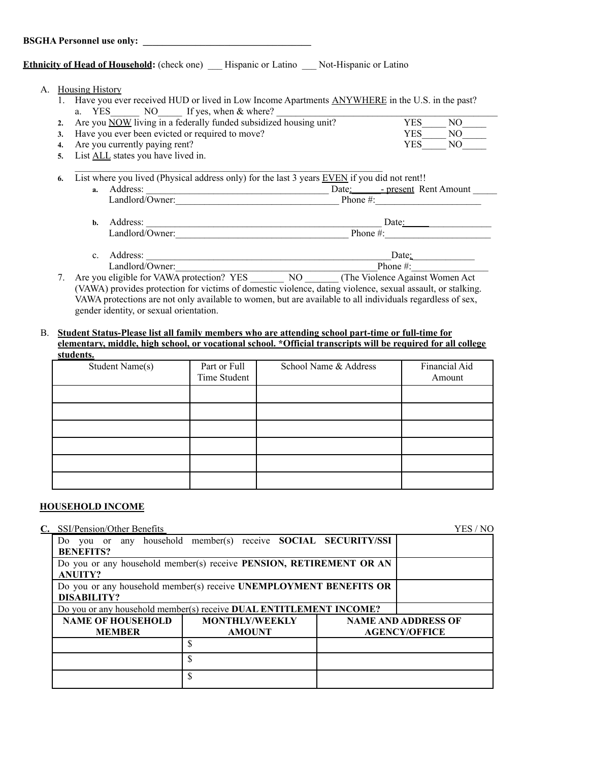#### **BSGHA Personnel use only: \_\_\_\_\_\_\_\_\_\_\_\_\_\_\_\_\_\_\_\_\_\_\_\_\_\_\_\_\_\_\_\_\_\_\_**

#### **Ethnicity of Head of Household:** (check one) Hispanic or Latino \_\_\_ Not-Hispanic or Latino

|  |  | Housing History |
|--|--|-----------------|
|--|--|-----------------|

1. Have you ever received HUD or lived in Low Income Apartments ANYWHERE in the U.S. in the past? a. YES NO If yes, when & where?

| 2. Are you NOW living in a federally funded subsidized housing unit? | <b>YES</b><br>NO  |
|----------------------------------------------------------------------|-------------------|
| 3. Have you ever been evicted or required to move?                   | YES<br>NO.        |
| 4. Are you currently paying rent?                                    | <b>YES</b><br>NO. |
| – TAITRA PRODUCT                                                     |                   |

**5.** List ALL states you have lived in.  $\mathcal{L}_\text{max} = \mathcal{L}_\text{max} = \mathcal{L}_\text{max} = \mathcal{L}_\text{max} = \mathcal{L}_\text{max} = \mathcal{L}_\text{max} = \mathcal{L}_\text{max} = \mathcal{L}_\text{max} = \mathcal{L}_\text{max} = \mathcal{L}_\text{max} = \mathcal{L}_\text{max} = \mathcal{L}_\text{max} = \mathcal{L}_\text{max} = \mathcal{L}_\text{max} = \mathcal{L}_\text{max} = \mathcal{L}_\text{max} = \mathcal{L}_\text{max} = \mathcal{L}_\text{max} = \mathcal{$ 

|  |  |  |  |  |  |  | 6. List where you lived (Physical address only) for the last 3 years EVEN if you did not rent!! |
|--|--|--|--|--|--|--|-------------------------------------------------------------------------------------------------|
|--|--|--|--|--|--|--|-------------------------------------------------------------------------------------------------|

| а. | Address:        | - present Rent Amount<br>Date: |
|----|-----------------|--------------------------------|
|    | Landlord/Owner: | Phone $\#$ :                   |
|    |                 |                                |
| h. | Address:        | Date:                          |

| Landlord/Owner:     | Phone $#$ : |
|---------------------|-------------|
|                     |             |
| Address:<br>⌒<br>ັ. | Date:       |

Landlord/Owner: Phone #: 7. Are you eligible for VAWA protection? YES \_\_\_\_\_\_\_\_\_ NO \_\_\_\_\_\_ (The Violence Against Women Act (VAWA) provides protection for victims of domestic violence, dating violence, sexual assault, or stalking.

VAWA protections are not only available to women, but are available to all individuals regardless of sex, gender identity, or sexual orientation.

#### B. **Student Status-Please list all family members who are attending school part-time or full-time for elementary, middle, high school, or vocational school. \*Official transcripts will be required for all college students.**

| Student Name(s) | Part or Full<br>Time Student | School Name & Address | Financial Aid<br>Amount |
|-----------------|------------------------------|-----------------------|-------------------------|
|                 |                              |                       |                         |
|                 |                              |                       |                         |
|                 |                              |                       |                         |
|                 |                              |                       |                         |
|                 |                              |                       |                         |
|                 |                              |                       |                         |

#### **HOUSEHOLD INCOME**

| C.                                                                 | SSI/Pension/Other Benefits                                                              |                                                                    |  | YES / NO |  |  |  |  |
|--------------------------------------------------------------------|-----------------------------------------------------------------------------------------|--------------------------------------------------------------------|--|----------|--|--|--|--|
|                                                                    |                                                                                         | Do you or any household member(s) receive SOCIAL SECURITY/SSI      |  |          |  |  |  |  |
|                                                                    | <b>BENEFITS?</b><br>Do you or any household member(s) receive PENSION, RETIREMENT OR AN |                                                                    |  |          |  |  |  |  |
|                                                                    |                                                                                         |                                                                    |  |          |  |  |  |  |
|                                                                    | <b>ANUITY?</b>                                                                          |                                                                    |  |          |  |  |  |  |
|                                                                    |                                                                                         | Do you or any household member(s) receive UNEMPLOYMENT BENEFITS OR |  |          |  |  |  |  |
|                                                                    | <b>DISABILITY?</b>                                                                      |                                                                    |  |          |  |  |  |  |
| Do you or any household member(s) receive DUAL ENTITLEMENT INCOME? |                                                                                         |                                                                    |  |          |  |  |  |  |
|                                                                    | <b>NAME OF HOUSEHOLD</b>                                                                | <b>NAME AND ADDRESS OF</b>                                         |  |          |  |  |  |  |
|                                                                    | <b>MEMBER</b>                                                                           | <b>AGENCY/OFFICE</b>                                               |  |          |  |  |  |  |
|                                                                    |                                                                                         | S                                                                  |  |          |  |  |  |  |
|                                                                    |                                                                                         | \$                                                                 |  |          |  |  |  |  |
|                                                                    |                                                                                         | \$                                                                 |  |          |  |  |  |  |
|                                                                    |                                                                                         |                                                                    |  |          |  |  |  |  |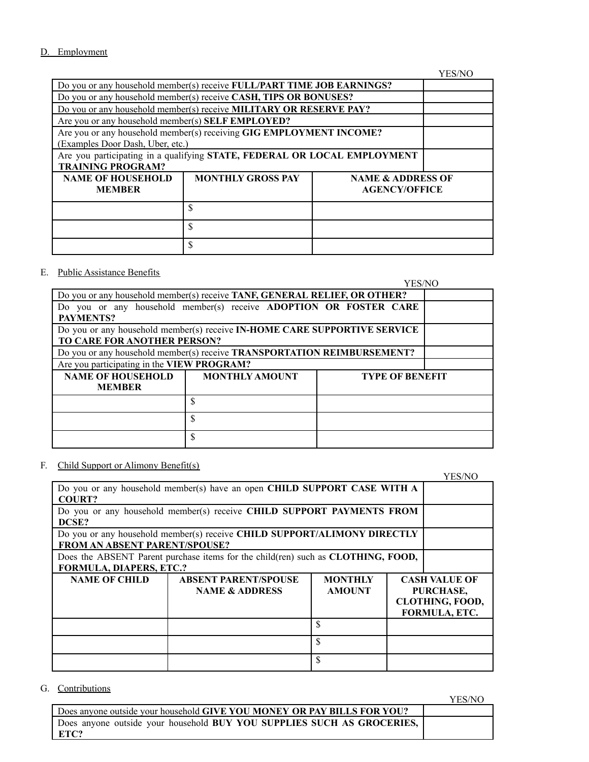#### D. Employment

YES/NO Do you or any household member(s) receive **FULL/PART TIME JOB EARNINGS?** Do you or any household member(s) receive **CASH, TIPS OR BONUSES?** Do you or any household member(s) receive **MILITARY OR RESERVE PAY?** Are you or any household member(s) **SELF EMPLOYED?** Are you or any household member(s) receiving **GIG EMPLOYMENT INCOME?** (Examples Door Dash, Uber, etc.) Are you participating in a qualifying **STATE, FEDERAL OR LOCAL EMPLOYMENT TRAINING PROGRAM? NAME OF HOUSEHOLD MEMBER MONTHLY GROSS PAY | NAME & ADDRESS OF AGENCY/OFFICE** \$ \$ \$

#### E. Public Assistance Benefits

YES/NO

| Do you or any household member(s) receive TANF, GENERAL RELIEF, OR OTHER?   |                                                                           |  |  |  |  |  |  |
|-----------------------------------------------------------------------------|---------------------------------------------------------------------------|--|--|--|--|--|--|
| Do you or any household member(s) receive <b>ADOPTION OR FOSTER CARE</b>    |                                                                           |  |  |  |  |  |  |
| PAYMENTS?                                                                   |                                                                           |  |  |  |  |  |  |
|                                                                             | Do you or any household member(s) receive IN-HOME CARE SUPPORTIVE SERVICE |  |  |  |  |  |  |
| TO CARE FOR ANOTHER PERSON?                                                 |                                                                           |  |  |  |  |  |  |
|                                                                             | Do you or any household member(s) receive TRANSPORTATION REIMBURSEMENT?   |  |  |  |  |  |  |
|                                                                             | Are you participating in the VIEW PROGRAM?                                |  |  |  |  |  |  |
| <b>NAME OF HOUSEHOLD</b><br><b>MONTHLY AMOUNT</b><br><b>TYPE OF BENEFIT</b> |                                                                           |  |  |  |  |  |  |
| <b>MEMBER</b>                                                               |                                                                           |  |  |  |  |  |  |
|                                                                             |                                                                           |  |  |  |  |  |  |
| S                                                                           |                                                                           |  |  |  |  |  |  |
|                                                                             | \$                                                                        |  |  |  |  |  |  |

#### F. Child Support or Alimony Benefit(s)

|                                                                                          |                                                                       | YES/NO         |  |                        |  |  |  |
|------------------------------------------------------------------------------------------|-----------------------------------------------------------------------|----------------|--|------------------------|--|--|--|
| Do you or any household member(s) have an open CHILD SUPPORT CASE WITH A                 |                                                                       |                |  |                        |  |  |  |
| <b>COURT?</b>                                                                            |                                                                       |                |  |                        |  |  |  |
|                                                                                          | Do you or any household member(s) receive CHILD SUPPORT PAYMENTS FROM |                |  |                        |  |  |  |
| DCSE?                                                                                    |                                                                       |                |  |                        |  |  |  |
| Do you or any household member(s) receive CHILD SUPPORT/ALIMONY DIRECTLY                 |                                                                       |                |  |                        |  |  |  |
| <b>FROM AN ABSENT PARENT/SPOUSE?</b>                                                     |                                                                       |                |  |                        |  |  |  |
| Does the ABSENT Parent purchase items for the child(ren) such as <b>CLOTHING</b> , FOOD, |                                                                       |                |  |                        |  |  |  |
| <b>FORMULA, DIAPERS, ETC.?</b>                                                           |                                                                       |                |  |                        |  |  |  |
| <b>NAME OF CHILD</b>                                                                     | <b>ABSENT PARENT/SPOUSE</b>                                           | <b>MONTHLY</b> |  | <b>CASH VALUE OF</b>   |  |  |  |
|                                                                                          | <b>NAME &amp; ADDRESS</b>                                             | <b>AMOUNT</b>  |  | PURCHASE,              |  |  |  |
|                                                                                          |                                                                       |                |  | <b>CLOTHING, FOOD,</b> |  |  |  |
|                                                                                          |                                                                       |                |  | <b>FORMULA, ETC.</b>   |  |  |  |
| $\mathcal{S}$                                                                            |                                                                       |                |  |                        |  |  |  |
|                                                                                          |                                                                       | \$             |  |                        |  |  |  |
|                                                                                          |                                                                       | S              |  |                        |  |  |  |

#### G. Contributions

Does anyone outside your household **GIVE YOU MONEY OR PAY BILLS FOR YOU?** Does anyone outside your household **BUY YOU SUPPLIES SUCH AS GROCERIES, ETC?**

YES/NO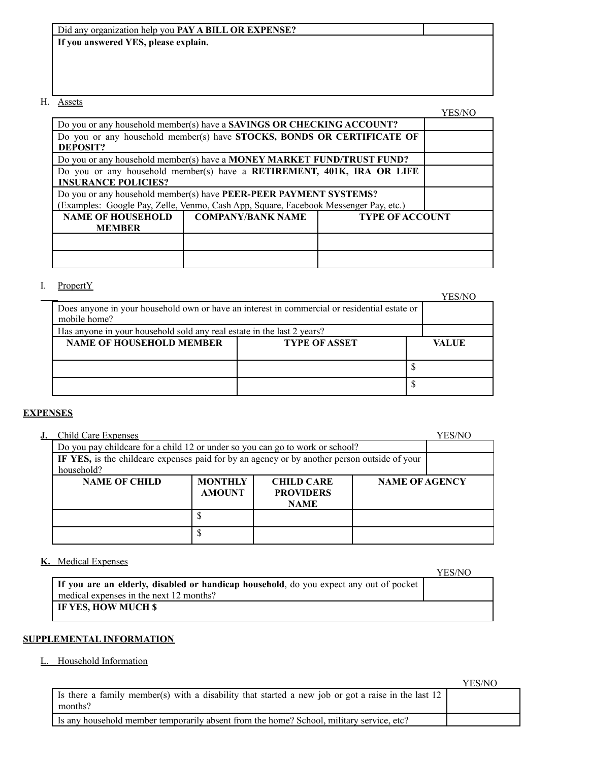| Did any organization help you <b>PAY A BILL OR EXPENSE?</b> |  |
|-------------------------------------------------------------|--|
| If you answered YES, please explain.                        |  |
|                                                             |  |
|                                                             |  |
|                                                             |  |

# H. Assets

|                                                                                                                                                           |                                                                        |                        | YES/NC |
|-----------------------------------------------------------------------------------------------------------------------------------------------------------|------------------------------------------------------------------------|------------------------|--------|
|                                                                                                                                                           | Do you or any household member(s) have a SAVINGS OR CHECKING ACCOUNT?  |                        |        |
| Do you or any household member(s) have STOCKS, BONDS OR CERTIFICATE OF<br>DEPOSIT?                                                                        |                                                                        |                        |        |
|                                                                                                                                                           | Do you or any household member(s) have a MONEY MARKET FUND/TRUST FUND? |                        |        |
| Do you or any household member(s) have a RETIREMENT, 401K, IRA OR LIFE<br><b>INSURANCE POLICIES?</b>                                                      |                                                                        |                        |        |
| Do you or any household member(s) have PEER-PEER PAYMENT SYSTEMS?<br>(Examples: Google Pay, Zelle, Venmo, Cash App, Square, Facebook Messenger Pay, etc.) |                                                                        |                        |        |
| <b>NAME OF HOUSEHOLD</b><br><b>MEMBER</b>                                                                                                                 | <b>COMPANY/BANK NAME</b>                                               | <b>TYPE OF ACCOUNT</b> |        |
|                                                                                                                                                           |                                                                        |                        |        |
|                                                                                                                                                           |                                                                        |                        |        |

# I. PropertY

YES/NO

| Does anyone in your household own or have an interest in commercial or residential estate or<br>mobile home? |  |  |
|--------------------------------------------------------------------------------------------------------------|--|--|
| Has anyone in your household sold any real estate in the last 2 years?                                       |  |  |
| <b>NAME OF HOUSEHOLD MEMBER</b><br><b>TYPE OF ASSET</b><br>VALUE                                             |  |  |
|                                                                                                              |  |  |
|                                                                                                              |  |  |
|                                                                                                              |  |  |
|                                                                                                              |  |  |

### **EXPENSES**

|                                                                                                            | <b>Child Care Expenses</b>                                                    |                                 |                                                      |                       | YES/NO |
|------------------------------------------------------------------------------------------------------------|-------------------------------------------------------------------------------|---------------------------------|------------------------------------------------------|-----------------------|--------|
|                                                                                                            | Do you pay childcare for a child 12 or under so you can go to work or school? |                                 |                                                      |                       |        |
| IF YES, is the childcare expenses paid for by an agency or by another person outside of your<br>household? |                                                                               |                                 |                                                      |                       |        |
|                                                                                                            | <b>NAME OF CHILD</b>                                                          | <b>MONTHLY</b><br><b>AMOUNT</b> | <b>CHILD CARE</b><br><b>PROVIDERS</b><br><b>NAME</b> | <b>NAME OF AGENCY</b> |        |
|                                                                                                            |                                                                               |                                 |                                                      |                       |        |
|                                                                                                            |                                                                               |                                 |                                                      |                       |        |

### **K.** Medical Expenses

| <u>MUULAT LADUISUS</u>                                                                 | YES/NO |
|----------------------------------------------------------------------------------------|--------|
| If you are an elderly, disabled or handicap household, do you expect any out of pocket |        |
| medical expenses in the next 12 months?                                                |        |
| <b>IF YES, HOW MUCH \$</b>                                                             |        |

#### **SUPPLEMENTAL INFORMATION**

### L. Household Information

|                                                                                                                 | YES/NC |
|-----------------------------------------------------------------------------------------------------------------|--------|
| I is there a family member(s) with a disability that started a new job or got a raise in the last 12<br>months? |        |
| Is any household member temporarily absent from the home? School, military service, etc?                        |        |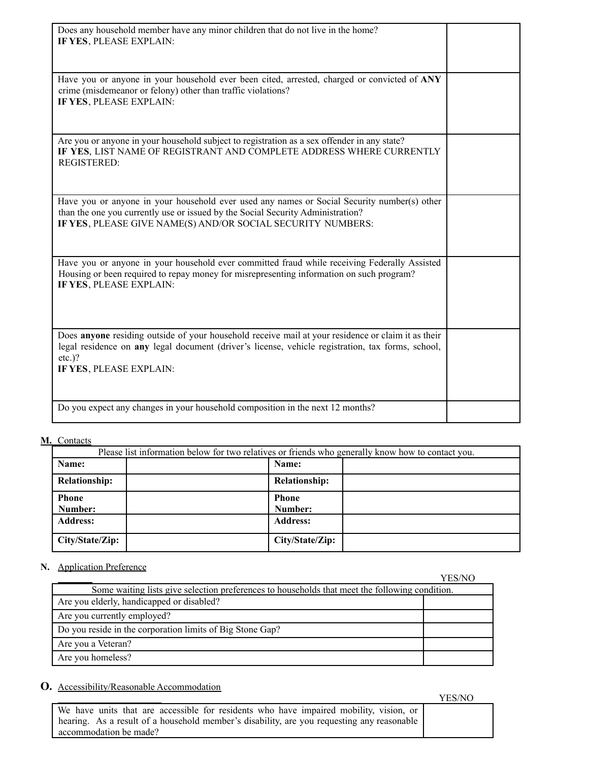| Does any household member have any minor children that do not live in the home?<br>IF YES, PLEASE EXPLAIN:                                                                                                                                      |  |
|-------------------------------------------------------------------------------------------------------------------------------------------------------------------------------------------------------------------------------------------------|--|
| Have you or anyone in your household ever been cited, arrested, charged or convicted of ANY<br>crime (misdemeanor or felony) other than traffic violations?<br>IF YES, PLEASE EXPLAIN:                                                          |  |
| Are you or anyone in your household subject to registration as a sex offender in any state?<br>IF YES, LIST NAME OF REGISTRANT AND COMPLETE ADDRESS WHERE CURRENTLY<br><b>REGISTERED:</b>                                                       |  |
| Have you or anyone in your household ever used any names or Social Security number(s) other<br>than the one you currently use or issued by the Social Security Administration?<br>IF YES, PLEASE GIVE NAME(S) AND/OR SOCIAL SECURITY NUMBERS:   |  |
| Have you or anyone in your household ever committed fraud while receiving Federally Assisted<br>Housing or been required to repay money for misrepresenting information on such program?<br>IF YES, PLEASE EXPLAIN:                             |  |
| Does anyone residing outside of your household receive mail at your residence or claim it as their<br>legal residence on any legal document (driver's license, vehicle registration, tax forms, school,<br>$etc.$ )?<br>IF YES, PLEASE EXPLAIN: |  |
| Do you expect any changes in your household composition in the next 12 months?                                                                                                                                                                  |  |

#### **M.** Contacts

| Please list information below for two relatives or friends who generally know how to contact you. |  |                      |  |
|---------------------------------------------------------------------------------------------------|--|----------------------|--|
| Name:                                                                                             |  | Name:                |  |
| <b>Relationship:</b>                                                                              |  | <b>Relationship:</b> |  |
| <b>Phone</b>                                                                                      |  | <b>Phone</b>         |  |
| Number:                                                                                           |  | Number:              |  |
| <b>Address:</b>                                                                                   |  | <b>Address:</b>      |  |
| City/State/Zip:                                                                                   |  | City/State/Zip:      |  |

# **N.** Application Preference

| <u> 1199116411011 1 161616166</u>                                                              | YES/NO |
|------------------------------------------------------------------------------------------------|--------|
| Some waiting lists give selection preferences to households that meet the following condition. |        |
| Are you elderly, handicapped or disabled?                                                      |        |
| Are you currently employed?                                                                    |        |
| Do you reside in the corporation limits of Big Stone Gap?                                      |        |
| Are you a Veteran?                                                                             |        |
| Are you homeless?                                                                              |        |

# **O.** Accessibility/Reasonable Accommodation

|                                                                                            | . |
|--------------------------------------------------------------------------------------------|---|
| We have units that are accessible for residents who have impaired mobility, vision, or     |   |
| hearing. As a result of a household member's disability, are you requesting any reasonable |   |
| accommodation be made?                                                                     |   |

YES/NO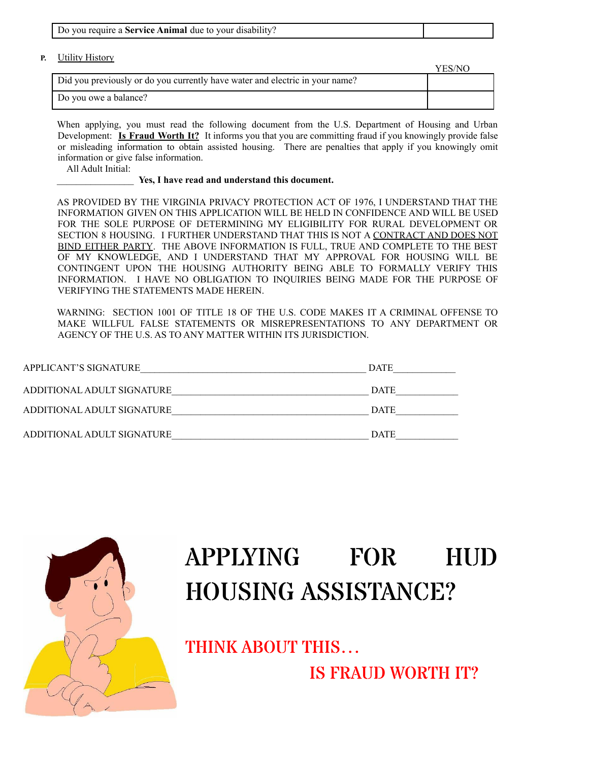| Do you require a <b>Service Animal</b> due to your disability? |  |
|----------------------------------------------------------------|--|
|                                                                |  |

**P.** Utility History

|                                                                              | YES/NO |
|------------------------------------------------------------------------------|--------|
| Did you previously or do you currently have water and electric in your name? |        |
| Do you owe a balance?                                                        |        |

When applying, you must read the following document from the U.S. Department of Housing and Urban Development: **Is Fraud Worth It?** It informs you that you are committing fraud if you knowingly provide false or misleading information to obtain assisted housing. There are penalties that apply if you knowingly omit information or give false information.

All Adult Initial:

#### \_\_\_\_\_\_\_\_\_\_\_\_\_\_\_\_ **Yes, I have read and understand this document.**

AS PROVIDED BY THE VIRGINIA PRIVACY PROTECTION ACT OF 1976, I UNDERSTAND THAT THE INFORMATION GIVEN ON THIS APPLICATION WILL BE HELD IN CONFIDENCE AND WILL BE USED FOR THE SOLE PURPOSE OF DETERMINING MY ELIGIBILITY FOR RURAL DEVELOPMENT OR SECTION 8 HOUSING. I FURTHER UNDERSTAND THAT THIS IS NOT A CONTRACT AND DOES NOT BIND EITHER PARTY. THE ABOVE INFORMATION IS FULL, TRUE AND COMPLETE TO THE BEST OF MY KNOWLEDGE, AND I UNDERSTAND THAT MY APPROVAL FOR HOUSING WILL BE CONTINGENT UPON THE HOUSING AUTHORITY BEING ABLE TO FORMALLY VERIFY THIS INFORMATION. I HAVE NO OBLIGATION TO INQUIRIES BEING MADE FOR THE PURPOSE OF VERIFYING THE STATEMENTS MADE HEREIN.

WARNING: SECTION 1001 OF TITLE 18 OF THE U.S. CODE MAKES IT A CRIMINAL OFFENSE TO MAKE WILLFUL FALSE STATEMENTS OR MISREPRESENTATIONS TO ANY DEPARTMENT OR AGENCY OF THE U.S. AS TO ANY MATTER WITHIN ITS JURISDICTION.

| APPLICANT'S SIGNATURE      | <b>DATE</b> |
|----------------------------|-------------|
| ADDITIONAL ADULT SIGNATURE | <b>DATE</b> |
| ADDITIONAL ADULT SIGNATURE | <b>DATE</b> |
| ADDITIONAL ADULT SIGNATURE | <b>DATE</b> |



# APPLYING FOR HUD HOUSING ASSISTANCE?

THINK ABOUT THIS…

IS FRAUD WORTH IT?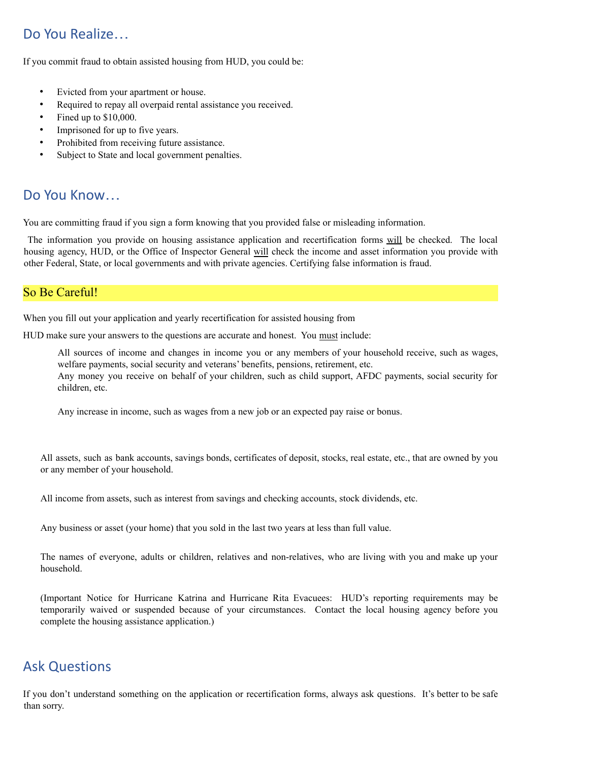# Do You Realize…

If you commit fraud to obtain assisted housing from HUD, you could be:

- Evicted from your apartment or house.
- Required to repay all overpaid rental assistance you received.
- Fined up to \$10,000.
- Imprisoned for up to five years.
- Prohibited from receiving future assistance.
- Subject to State and local government penalties.

# Do You Know…

You are committing fraud if you sign a form knowing that you provided false or misleading information.

The information you provide on housing assistance application and recertification forms will be checked. The local housing agency, HUD, or the Office of Inspector General will check the income and asset information you provide with other Federal, State, or local governments and with private agencies. Certifying false information is fraud.

### So Be Careful!

When you fill out your application and yearly recertification for assisted housing from

HUD make sure your answers to the questions are accurate and honest. You must include:

All sources of income and changes in income you or any members of your household receive, such as wages, welfare payments, social security and veterans' benefits, pensions, retirement, etc. Any money you receive on behalf of your children, such as child support, AFDC payments, social security for children, etc.

Any increase in income, such as wages from a new job or an expected pay raise or bonus.

All assets, such as bank accounts, savings bonds, certificates of deposit, stocks, real estate, etc., that are owned by you or any member of your household.

All income from assets, such as interest from savings and checking accounts, stock dividends, etc.

Any business or asset (your home) that you sold in the last two years at less than full value.

The names of everyone, adults or children, relatives and non-relatives, who are living with you and make up your household.

(Important Notice for Hurricane Katrina and Hurricane Rita Evacuees: HUD's reporting requirements may be temporarily waived or suspended because of your circumstances. Contact the local housing agency before you complete the housing assistance application.)

# Ask Questions

If you don't understand something on the application or recertification forms, always ask questions. It's better to be safe than sorry.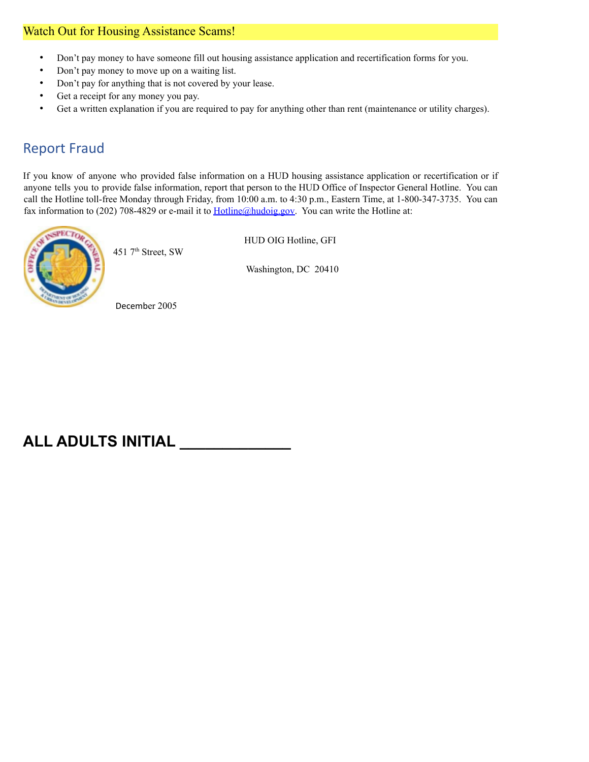# Watch Out for Housing Assistance Scams!

- Don't pay money to have someone fill out housing assistance application and recertification forms for you.
- Don't pay money to move up on a waiting list.
- Don't pay for anything that is not covered by your lease.
- Get a receipt for any money you pay.
- Get a written explanation if you are required to pay for anything other than rent (maintenance or utility charges).

# Report Fraud

If you know of anyone who provided false information on a HUD housing assistance application or recertification or if anyone tells you to provide false information, report that person to the HUD Office of Inspector General Hotline. You can call the Hotline toll-free Monday through Friday, from 10:00 a.m. to 4:30 p.m., Eastern Time, at 1-800-347-3735. You can fax information to (202) 708-4829 or e-mail it to Hotline@hudoig.gov. You can write the Hotline at:



451 7 th Street, SW

HUD OIG Hotline, GFI

Washington, DC 20410

December 2005

# **ALL ADULTS INITIAL \_\_\_\_\_\_\_\_\_\_\_\_\_**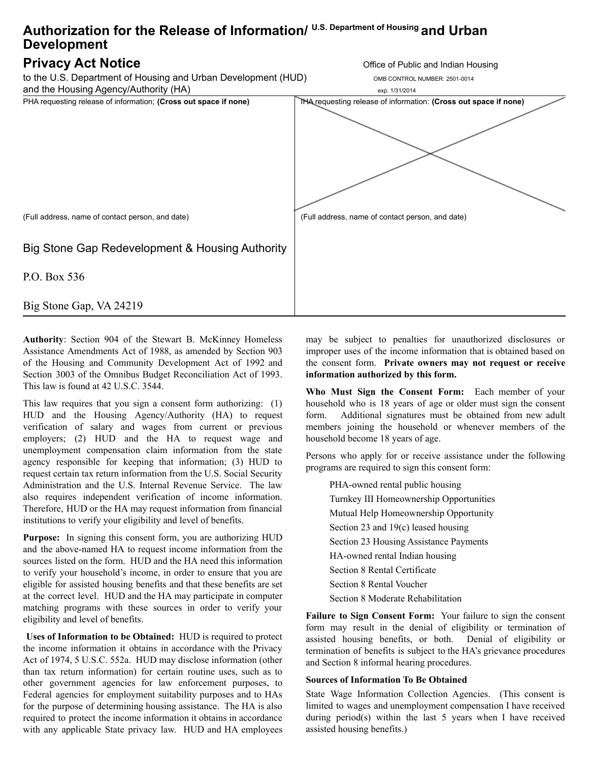# **Authorization for the Release of Information/ U.S. Department of Housing and Urban Development**

# **Privacy Act Notice Contract of Public and Indian Housing**

to the U.S. Department of Housing and Urban Development (HUD) OMB CONTROL NUMBER: 2501-0014



and the Housing Agency/Authority (HA) exp. 1/31/2014 PHA requesting release of information; **(Cross out space if none)** IHA requesting release of information: **(Cross out space if none)** (Full address, name of contact person, and date) Big Stone Gap Redevelopment & Housing Authority P.O. Box 536 Big Stone Gap, VA 24219 (Full address, name of contact person, and date)

**Authority**: Section 904 of the Stewart B. McKinney Homeless Assistance Amendments Act of 1988, as amended by Section 903 of the Housing and Community Development Act of 1992 and Section 3003 of the Omnibus Budget Reconciliation Act of 1993. This law is found at 42 U.S.C. 3544.

This law requires that you sign a consent form authorizing: (1) HUD and the Housing Agency/Authority (HA) to request verification of salary and wages from current or previous employers; (2) HUD and the HA to request wage and unemployment compensation claim information from the state agency responsible for keeping that information; (3) HUD to request certain tax return information from the U.S. Social Security Administration and the U.S. Internal Revenue Service. The law also requires independent verification of income information. Therefore, HUD or the HA may request information from financial institutions to verify your eligibility and level of benefits.

**Purpose:** In signing this consent form, you are authorizing HUD and the above-named HA to request income information from the sources listed on the form. HUD and the HA need this information to verify your household's income, in order to ensure that you are eligible for assisted housing benefits and that these benefits are set at the correct level. HUD and the HA may participate in computer matching programs with these sources in order to verify your eligibility and level of benefits.

**Uses of Information to be Obtained:** HUD is required to protect the income information it obtains in accordance with the Privacy Act of 1974, 5 U.S.C. 552a. HUD may disclose information (other than tax return information) for certain routine uses, such as to other government agencies for law enforcement purposes, to Federal agencies for employment suitability purposes and to HAs for the purpose of determining housing assistance. The HA is also required to protect the income information it obtains in accordance with any applicable State privacy law. HUD and HA employees may be subject to penalties for unauthorized disclosures or improper uses of the income information that is obtained based on the consent form. **Private owners may not request or receive information authorized by this form.**

**Who Must Sign the Consent Form:** Each member of your household who is 18 years of age or older must sign the consent form. Additional signatures must be obtained from new adult members joining the household or whenever members of the household become 18 years of age.

Persons who apply for or receive assistance under the following programs are required to sign this consent form:

PHA-owned rental public housing Turnkey III Homeownership Opportunities Mutual Help Homeownership Opportunity Section 23 and 19(c) leased housing Section 23 Housing Assistance Payments HA-owned rental Indian housing Section 8 Rental Certificate Section 8 Rental Voucher Section 8 Moderate Rehabilitation

**Failure to Sign Consent Form:** Your failure to sign the consent form may result in the denial of eligibility or termination of assisted housing benefits, or both. Denial of eligibility or termination of benefits is subject to the HA's grievance procedures and Section 8 informal hearing procedures.

#### **Sources of Information To Be Obtained**

State Wage Information Collection Agencies. (This consent is limited to wages and unemployment compensation I have received during period(s) within the last 5 years when I have received assisted housing benefits.)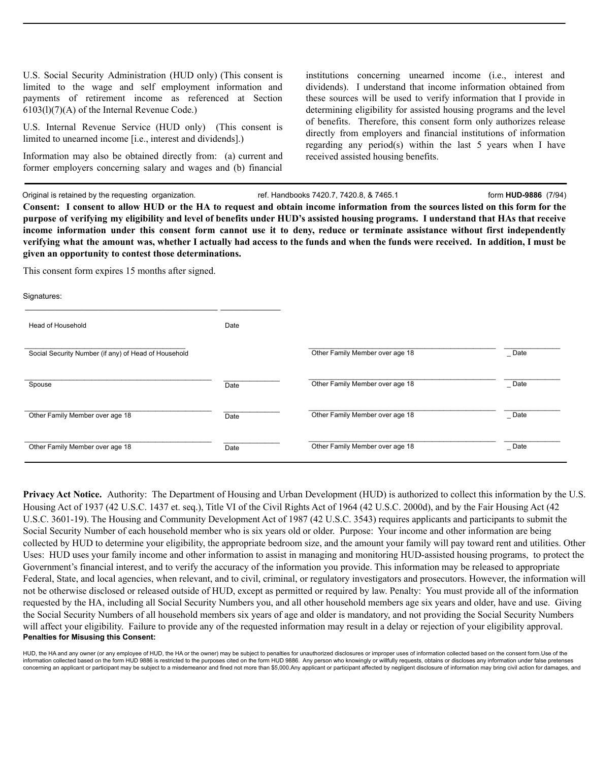U.S. Social Security Administration (HUD only) (This consent is limited to the wage and self employment information and payments of retirement income as referenced at Section 6103(l)(7)(A) of the Internal Revenue Code.)

U.S. Internal Revenue Service (HUD only) (This consent is limited to unearned income [i.e., interest and dividends].)

Information may also be obtained directly from: (a) current and former employers concerning salary and wages and (b) financial

institutions concerning unearned income (i.e., interest and dividends). I understand that income information obtained from these sources will be used to verify information that I provide in determining eligibility for assisted housing programs and the level of benefits. Therefore, this consent form only authorizes release directly from employers and financial institutions of information regarding any period(s) within the last 5 years when I have received assisted housing benefits.

Original is retained by the requesting organization. ref. Handbooks 7420.7, 7420.8, & 7465.1 form **HUD-9886** (7/94) Consent: I consent to allow HUD or the HA to request and obtain income information from the sources listed on this form for the purpose of verifying my eligibility and level of benefits under HUD's assisted housing programs. I understand that HAs that receive income information under this consent form cannot use it to deny, reduce or terminate assistance without first independently verifying what the amount was, whether I actually had access to the funds and when the funds were received. In addition, I must be **given an opportunity to contest those determinations.**

This consent form expires 15 months after signed.

| Signatures:                                          |      |                                 |           |
|------------------------------------------------------|------|---------------------------------|-----------|
| Head of Household                                    | Date |                                 |           |
| Social Security Number (if any) of Head of Household |      | Other Family Member over age 18 | $\_$ Date |
| Spouse                                               | Date | Other Family Member over age 18 | $\_$ Date |
| Other Family Member over age 18                      | Date | Other Family Member over age 18 | $\_$ Date |
| Other Family Member over age 18                      | Date | Other Family Member over age 18 | $\_$ Date |

**Privacy Act Notice.** Authority: The Department of Housing and Urban Development (HUD) is authorized to collect this information by the U.S. Housing Act of 1937 (42 U.S.C. 1437 et. seq.), Title VI of the Civil Rights Act of 1964 (42 U.S.C. 2000d), and by the Fair Housing Act (42 U.S.C. 3601-19). The Housing and Community Development Act of 1987 (42 U.S.C. 3543) requires applicants and participants to submit the Social Security Number of each household member who is six years old or older. Purpose: Your income and other information are being collected by HUD to determine your eligibility, the appropriate bedroom size, and the amount your family will pay toward rent and utilities. Other Uses: HUD uses your family income and other information to assist in managing and monitoring HUD-assisted housing programs, to protect the Government's financial interest, and to verify the accuracy of the information you provide. This information may be released to appropriate Federal, State, and local agencies, when relevant, and to civil, criminal, or regulatory investigators and prosecutors. However, the information will not be otherwise disclosed or released outside of HUD, except as permitted or required by law. Penalty: You must provide all of the information requested by the HA, including all Social Security Numbers you, and all other household members age six years and older, have and use. Giving the Social Security Numbers of all household members six years of age and older is mandatory, and not providing the Social Security Numbers will affect your eligibility. Failure to provide any of the requested information may result in a delay or rejection of your eligibility approval. **Penalties for Misusing this Consent:**

HUD, the HA and any owner (or any employee of HUD, the HA or the owner) may be subject to penalties for unauthorized disclosures or improper uses of information collected based on the consent form. Use of the information collected based on the form HUD 9886 is restricted to the purposes cited on the form HUD 9886. Any person who knowingly or willfully requests, obtains or discloses any information under false pretenses concerning an applicant or participant may be subject to a misdemeanor and fined not more than \$5,000.Any applicant or participant affected by negligent disclosure of information may bring civil action for damages, and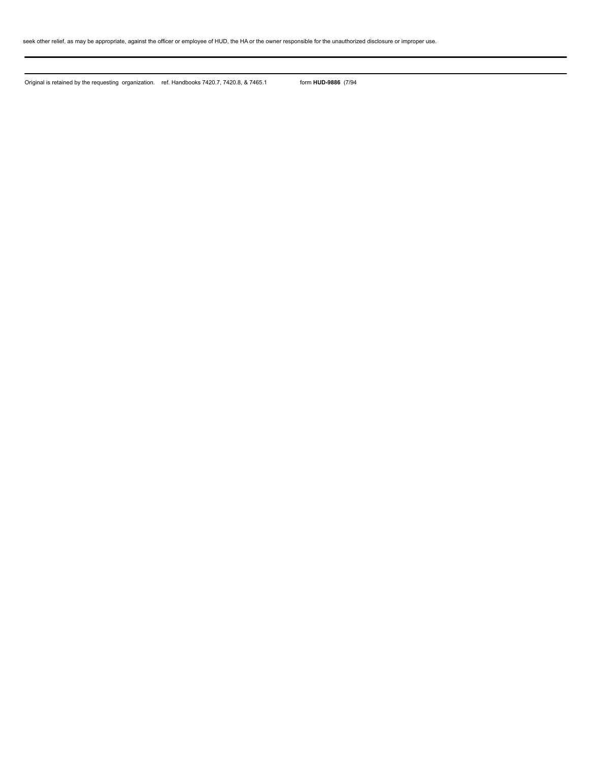seek other relief, as may be appropriate, against the officer or employee of HUD, the HA or the owner responsible for the unauthorized disclosure or improper use.

Original is retained by the requesting organization. ref. Handbooks 7420.7, 7420.8, & 7465.1 form **HUD-9886** (7/94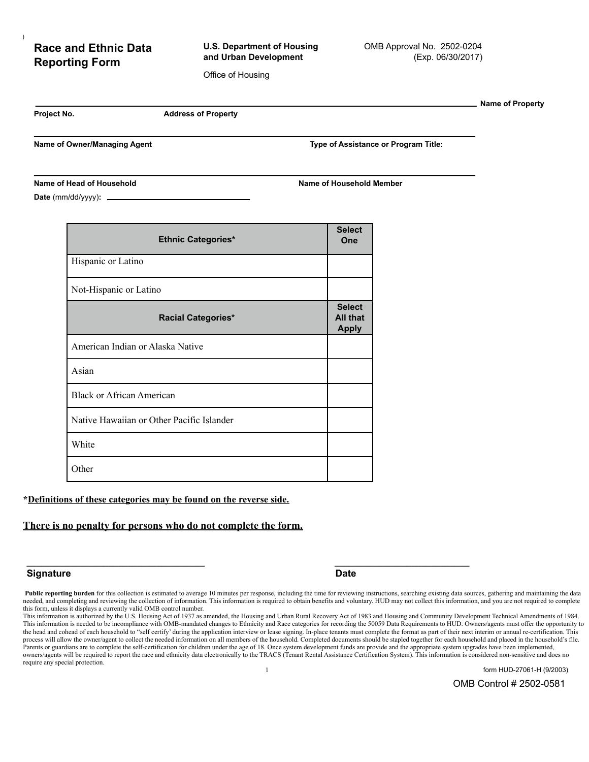# **Race and Ethnic Data Reporting Form**

**U.S. Department of Housing and Urban Development**

Office of Housing

**Name of Property**

)

**Project No. Address of Property**

**Name of Owner/Managing Agent Type of Assistance or Program Title:**

#### **Name of Head of Household Name of Household Member**

**Date** (mm/dd/yyyy)**:**

| <b>Ethnic Categories*</b>                 | <b>Select</b><br>One                      |
|-------------------------------------------|-------------------------------------------|
| Hispanic or Latino                        |                                           |
| Not-Hispanic or Latino                    |                                           |
| <b>Racial Categories*</b>                 | <b>Select</b><br>All that<br><b>Apply</b> |
| American Indian or Alaska Native          |                                           |
| Asian                                     |                                           |
| <b>Black or African American</b>          |                                           |
| Native Hawaiian or Other Pacific Islander |                                           |
| White                                     |                                           |
| Other                                     |                                           |

#### **\*Definitions of these categories may be found on the reverse side.**

#### **There is no penalty for persons who do not complete the form.**

#### **Signature Date**

1 form HUD-27061-H (9/2003)

OMB Control # 2502-0581

**\_\_\_\_\_\_\_\_\_\_\_\_\_\_\_\_\_\_\_\_\_\_\_\_\_\_\_\_\_\_\_\_\_\_\_\_\_ \_\_\_\_\_\_\_\_\_\_\_\_\_\_\_\_\_\_\_\_\_\_\_\_\_\_\_\_**

Public reporting burden for this collection is estimated to average 10 minutes per response, including the time for reviewing instructions, searching existing data sources, gathering and maintaining the data needed, and completing and reviewing the collection of information. This information is required to obtain benefits and voluntary. HUD may not collect this information, and you are not required to complete this form, unless it displays a currently valid OMB control number.

This information is authorized by the U.S. Housing Act of 1937 as amended, the Housing and Urban Rural Recovery Act of 1983 and Housing and Community Development Technical Amendments of 1984. This information is needed to be incompliance with OMB-mandated changes to Ethnicity and Race categories for recording the 50059 Data Requirements to HUD. Owners/agents must offer the opportunity to the head and cohead of each household to "self certify' during the application interview or lease signing. In-place tenants must complete the format as part of their next interim or annual re-certification. This process will allow the owner/agent to collect the needed information on all members of the household. Completed documents should be stapled together for each household and placed in the household's file. Parents or guardians are to complete the self-certification for children under the age of 18. Once system development funds are provide and the appropriate system upgrades have been implemented, owners/agents will be required to report the race and ethnicity data electronically to the TRACS (Tenant Rental Assistance Certification System). This information is considered non-sensitive and does no require any special protection.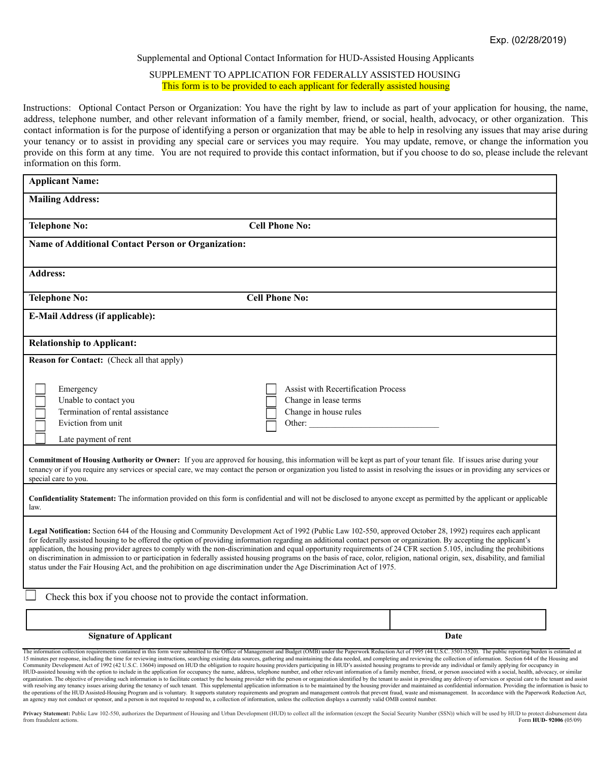#### Supplemental and Optional Contact Information for HUD-Assisted Housing Applicants

#### SUPPLEMENT TO APPLICATION FOR FEDERALLY ASSISTED HOUSING This form is to be provided to each applicant for federally assisted housing

Instructions: Optional Contact Person or Organization: You have the right by law to include as part of your application for housing, the name, address, telephone number, and other relevant information of a family member, friend, or social, health, advocacy, or other organization. This contact information is for the purpose of identifying a person or organization that may be able to help in resolving any issues that may arise during your tenancy or to assist in providing any special care or services you may require. You may update, remove, or change the information you provide on this form at any time. You are not required to provide this contact information, but if you choose to do so, please include the relevant information on this form.

| <b>Applicant Name:</b>                                                                                                                               |                                                                                                                                                                                                                                                                                                                                                                                                                                                                                                                                                                                                                                                                                                                                                                                                                                                                                                                                                                                          |
|------------------------------------------------------------------------------------------------------------------------------------------------------|------------------------------------------------------------------------------------------------------------------------------------------------------------------------------------------------------------------------------------------------------------------------------------------------------------------------------------------------------------------------------------------------------------------------------------------------------------------------------------------------------------------------------------------------------------------------------------------------------------------------------------------------------------------------------------------------------------------------------------------------------------------------------------------------------------------------------------------------------------------------------------------------------------------------------------------------------------------------------------------|
| <b>Mailing Address:</b>                                                                                                                              |                                                                                                                                                                                                                                                                                                                                                                                                                                                                                                                                                                                                                                                                                                                                                                                                                                                                                                                                                                                          |
| <b>Telephone No:</b>                                                                                                                                 | <b>Cell Phone No:</b>                                                                                                                                                                                                                                                                                                                                                                                                                                                                                                                                                                                                                                                                                                                                                                                                                                                                                                                                                                    |
| <b>Name of Additional Contact Person or Organization:</b>                                                                                            |                                                                                                                                                                                                                                                                                                                                                                                                                                                                                                                                                                                                                                                                                                                                                                                                                                                                                                                                                                                          |
| <b>Address:</b>                                                                                                                                      |                                                                                                                                                                                                                                                                                                                                                                                                                                                                                                                                                                                                                                                                                                                                                                                                                                                                                                                                                                                          |
| <b>Telephone No:</b>                                                                                                                                 | <b>Cell Phone No:</b>                                                                                                                                                                                                                                                                                                                                                                                                                                                                                                                                                                                                                                                                                                                                                                                                                                                                                                                                                                    |
| <b>E-Mail Address (if applicable):</b>                                                                                                               |                                                                                                                                                                                                                                                                                                                                                                                                                                                                                                                                                                                                                                                                                                                                                                                                                                                                                                                                                                                          |
| <b>Relationship to Applicant:</b>                                                                                                                    |                                                                                                                                                                                                                                                                                                                                                                                                                                                                                                                                                                                                                                                                                                                                                                                                                                                                                                                                                                                          |
| <b>Reason for Contact:</b> (Check all that apply)                                                                                                    |                                                                                                                                                                                                                                                                                                                                                                                                                                                                                                                                                                                                                                                                                                                                                                                                                                                                                                                                                                                          |
| Emergency<br>Unable to contact you<br>Termination of rental assistance<br>Eviction from unit<br>Late payment of rent<br>special care to you.<br>law. | <b>Assist with Recertification Process</b><br>Change in lease terms<br>Change in house rules<br>Other:<br><b>Commitment of Housing Authority or Owner:</b> If you are approved for housing, this information will be kept as part of your tenant file. If issues arise during your<br>tenancy or if you require any services or special care, we may contact the person or organization you listed to assist in resolving the issues or in providing any services or<br>Confidentiality Statement: The information provided on this form is confidential and will not be disclosed to anyone except as permitted by the applicant or applicable<br>Legal Notification: Section 644 of the Housing and Community Development Act of 1992 (Public Law 102-550, approved October 28, 1992) requires each applicant<br>for federally assisted housing to be offered the option of providing information regarding an additional contact person or organization. By accepting the applicant's |
|                                                                                                                                                      | application, the housing provider agrees to comply with the non-discrimination and equal opportunity requirements of 24 CFR section 5.105, including the prohibitions<br>on discrimination in admission to or participation in federally assisted housing programs on the basis of race, color, religion, national origin, sex, disability, and familial<br>status under the Fair Housing Act, and the prohibition on age discrimination under the Age Discrimination Act of 1975.                                                                                                                                                                                                                                                                                                                                                                                                                                                                                                       |
|                                                                                                                                                      | Check this box if you choose not to provide the contact information.                                                                                                                                                                                                                                                                                                                                                                                                                                                                                                                                                                                                                                                                                                                                                                                                                                                                                                                     |
| <b>Signature of Applicant</b>                                                                                                                        | Date                                                                                                                                                                                                                                                                                                                                                                                                                                                                                                                                                                                                                                                                                                                                                                                                                                                                                                                                                                                     |

HUD-assisted housing with the option to include in the application for occupancy the name, address, telephone number, and other relevant information of a family member, friend, or person associated with a social, health, a organization. The objective of providing such information is to facilitate contact by the housing provider with the person or organization identified by the tenant to assist in providing any delivery of services or special the operations of the HUD Assisted Housing Program and is voluntary. It supports statutory requirements and program and management controls that prevent fraud, waste and mismanagement. In accordance with the Paperwork Redu an agency may not conduct or sponsor, and a person is not required to respond to, a collection of information, unless the collection displays a currently valid OMB control number.

Privacy Statement: Public Law 102-550, authorizes the Department of Housing and Urban Development (HUD) to collect all the information (except the Social Security Number (SSN)) which will be used by HUD to protect disburse from fraudulent actions. Form **HUD- 92006** (05/09)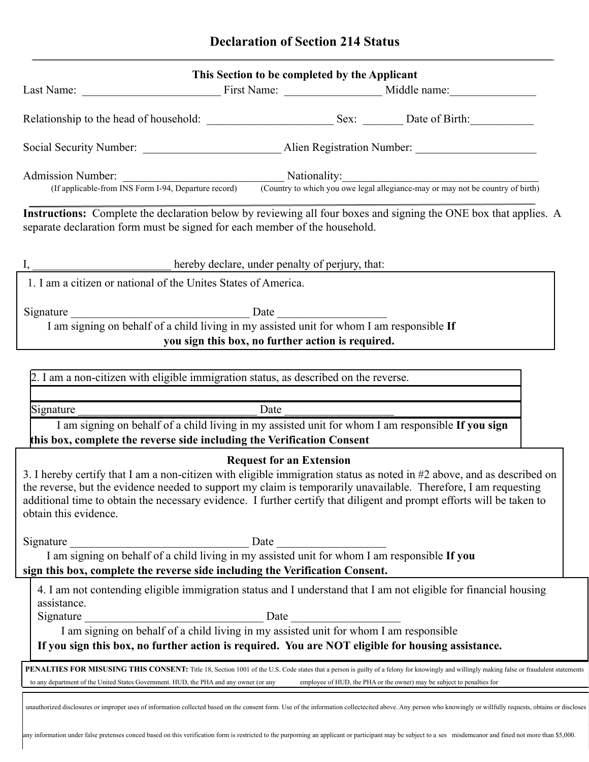|                                                                                                                               | This Section to be completed by the Applicant                                                   |                                                                                                                                                                                                                                                                                                                                                                    |
|-------------------------------------------------------------------------------------------------------------------------------|-------------------------------------------------------------------------------------------------|--------------------------------------------------------------------------------------------------------------------------------------------------------------------------------------------------------------------------------------------------------------------------------------------------------------------------------------------------------------------|
|                                                                                                                               |                                                                                                 |                                                                                                                                                                                                                                                                                                                                                                    |
|                                                                                                                               |                                                                                                 |                                                                                                                                                                                                                                                                                                                                                                    |
|                                                                                                                               |                                                                                                 |                                                                                                                                                                                                                                                                                                                                                                    |
|                                                                                                                               |                                                                                                 | Admission Number: <u>Country Mationality:</u> Nationality: (If applicable-from INS Form I-94, Departure record) Country to which you owe legal allegiance-may or may not be country of birth)                                                                                                                                                                      |
| separate declaration form must be signed for each member of the household.                                                    |                                                                                                 | Instructions: Complete the declaration below by reviewing all four boxes and signing the ONE box that applies. A                                                                                                                                                                                                                                                   |
|                                                                                                                               | <b>Example 2016</b> hereby declare, under penalty of perjury, that:                             |                                                                                                                                                                                                                                                                                                                                                                    |
| 1. I am a citizen or national of the Unites States of America.                                                                |                                                                                                 |                                                                                                                                                                                                                                                                                                                                                                    |
| I am signing on behalf of a child living in my assisted unit for whom I am responsible If                                     | you sign this box, no further action is required.                                               |                                                                                                                                                                                                                                                                                                                                                                    |
| 2. I am a non-citizen with eligible immigration status, as described on the reverse.                                          |                                                                                                 |                                                                                                                                                                                                                                                                                                                                                                    |
| Signature                                                                                                                     | $\frac{\text{Date}}{\text{Date}}$                                                               |                                                                                                                                                                                                                                                                                                                                                                    |
| this box, complete the reverse side including the Verification Consent                                                        |                                                                                                 | I am signing on behalf of a child living in my assisted unit for whom I am responsible If you sign                                                                                                                                                                                                                                                                 |
| obtain this evidence.                                                                                                         | <b>Request for an Extension</b>                                                                 | 3. I hereby certify that I am a non-citizen with eligible immigration status as noted in #2 above, and as described on<br>the reverse, but the evidence needed to support my claim is temporarily unavailable. Therefore, I am requesting<br>additional time to obtain the necessary evidence. I further certify that diligent and prompt efforts will be taken to |
| Signature<br>sign this box, complete the reverse side including the Verification Consent.                                     |                                                                                                 |                                                                                                                                                                                                                                                                                                                                                                    |
| assistance.<br>Signature<br>If you sign this box, no further action is required. You are NOT eligible for housing assistance. | ature<br>I am signing on behalf of a child living in my assisted unit for whom I am responsible | 4. I am not contending eligible immigration status and I understand that I am not eligible for financial housing                                                                                                                                                                                                                                                   |
| to any department of the United States Government. HUD, the PHA and any owner (or any                                         |                                                                                                 | PENALTIES FOR MISUSING THIS CONSENT: Title 18, Section 1001 of the U.S. Code states that a person is guilty of a felony for knowingly and willingly making false or fraudulent statements<br>employee of HUD, the PHA or the owner) may be subject to penalties for                                                                                                |
|                                                                                                                               |                                                                                                 | unauthorized disclosures or improper uses of information collected based on the consent form. Use of the information collectecited above. Any person who knowingly or willfully requests, obtains or discloses                                                                                                                                                     |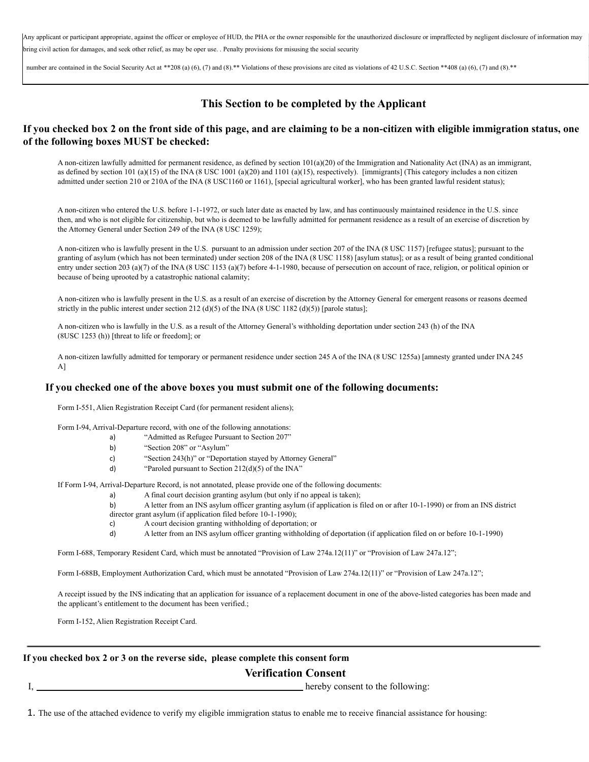Any applicant or participant appropriate, against the officer or employee of HUD, the PHA or the owner responsible for the unauthorized disclosure or impraffected by negligent disclosure of information may bring civil action for damages, and seek other relief, as may be oper use. . Penalty provisions for misusing the social security

number are contained in the Social Security Act at \*\*208 (a) (6), (7) and (8).\*\* Violations of these provisions are cited as violations of 42 U.S.C. Section \*\*408 (a) (6), (7) and (8).\*\*

### **This Section to be completed by the Applicant**

#### If you checked box 2 on the front side of this page, and are claiming to be a non-citizen with eligible immigration status, one **of the following boxes MUST be checked:**

A non-citizen lawfully admitted for permanent residence, as defined by section  $101(a)(20)$  of the Immigration and Nationality Act (INA) as an immigrant, as defined by section 101 (a)(15) of the INA (8 USC 1001 (a)(20) and 1101 (a)(15), respectively). [immigrants] (This category includes a non citizen admitted under section 210 or 210A of the INA (8 USC1160 or 1161), [special agricultural worker], who has been granted lawful resident status);

A non-citizen who entered the U.S. before 1-1-1972, or such later date as enacted by law, and has continuously maintained residence in the U.S. since then, and who is not eligible for citizenship, but who is deemed to be lawfully admitted for permanent residence as a result of an exercise of discretion by the Attorney General under Section 249 of the INA (8 USC 1259);

A non-citizen who is lawfully present in the U.S. pursuant to an admission under section 207 of the INA (8 USC 1157) [refugee status]; pursuant to the granting of asylum (which has not been terminated) under section 208 of the INA (8 USC 1158) [asylum status]; or as a result of being granted conditional entry under section 203 (a)(7) of the INA (8 USC 1153 (a)(7) before 4-1-1980, because of persecution on account of race, religion, or political opinion or because of being uprooted by a catastrophic national calamity;

A non-citizen who is lawfully present in the U.S. as a result of an exercise of discretion by the Attorney General for emergent reasons or reasons deemed strictly in the public interest under section 212 (d)(5) of the INA (8 USC 1182 (d)(5)) [parole status];

A non-citizen who is lawfully in the U.S. as a result of the Attorney General's withholding deportation under section 243 (h) of the INA (8USC 1253 (h)) [threat to life or freedom]; or

A non-citizen lawfully admitted for temporary or permanent residence under section 245 A of the INA (8 USC 1255a) [amnesty granted under INA 245 A]

#### **If you checked one of the above boxes you must submit one of the following documents:**

Form I-551, Alien Registration Receipt Card (for permanent resident aliens);

Form I-94, Arrival-Departure record, with one of the following annotations:

- a) "Admitted as Refugee Pursuant to Section 207"
	- b) "Section 208" or "Asylum"
	- c) "Section 243(h)" or "Deportation stayed by Attorney General"
	- d) "Paroled pursuant to Section 212(d)(5) of the INA"

If Form I-94, Arrival-Departure Record, is not annotated, please provide one of the following documents:

- a) A final court decision granting asylum (but only if no appeal is taken);
- b) A letter from an INS asylum officer granting asylum (if application is filed on or after 10-1-1990) or from an INS district director grant asylum (if application filed before 10-1-1990);
	- c) A court decision granting withholding of deportation; or
	- d) A letter from an INS asylum officer granting withholding of deportation (if application filed on or before 10-1-1990)

Form I-688, Temporary Resident Card, which must be annotated "Provision of Law 274a.12(11)" or "Provision of Law 247a.12";

Form I-688B, Employment Authorization Card, which must be annotated "Provision of Law 274a.12(11)" or "Provision of Law 247a.12";

A receipt issued by the INS indicating that an application for issuance of a replacement document in one of the above-listed categories has been made and the applicant's entitlement to the document has been verified.;

Form I-152, Alien Registration Receipt Card.

#### **If you checked box 2 or 3 on the reverse side, please complete this consent form**

#### **Verification Consent**

I, hereby consent to the following:

1. The use of the attached evidence to verify my eligible immigration status to enable me to receive financial assistance for housing: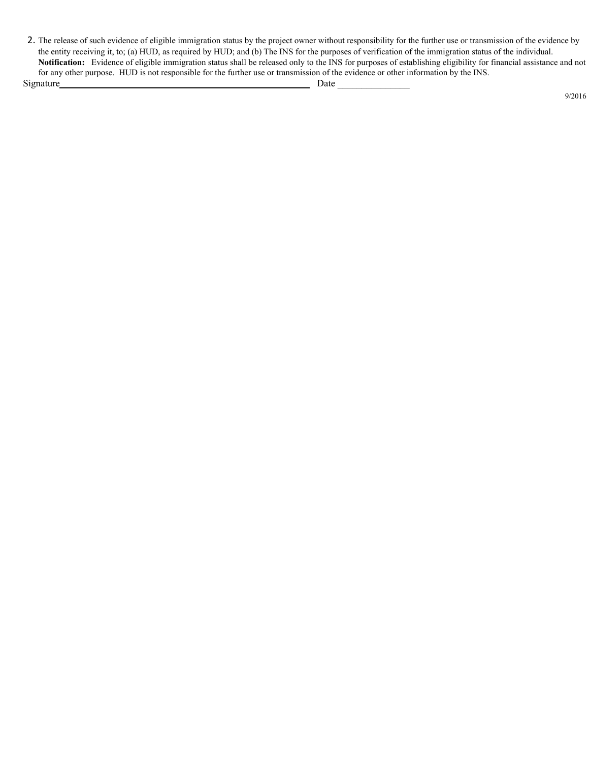2. The release of such evidence of eligible immigration status by the project owner without responsibility for the further use or transmission of the evidence by the entity receiving it, to; (a) HUD, as required by HUD; and (b) The INS for the purposes of verification of the immigration status of the individual. **Notification:** Evidence of eligible immigration status shall be released only to the INS for purposes of establishing eligibility for financial assistance and not for any other purpose. HUD is not responsible for the further use or transmission of the evidence or other information by the INS. Signature Date \_\_\_\_\_\_\_\_\_\_\_\_\_\_\_

9/2016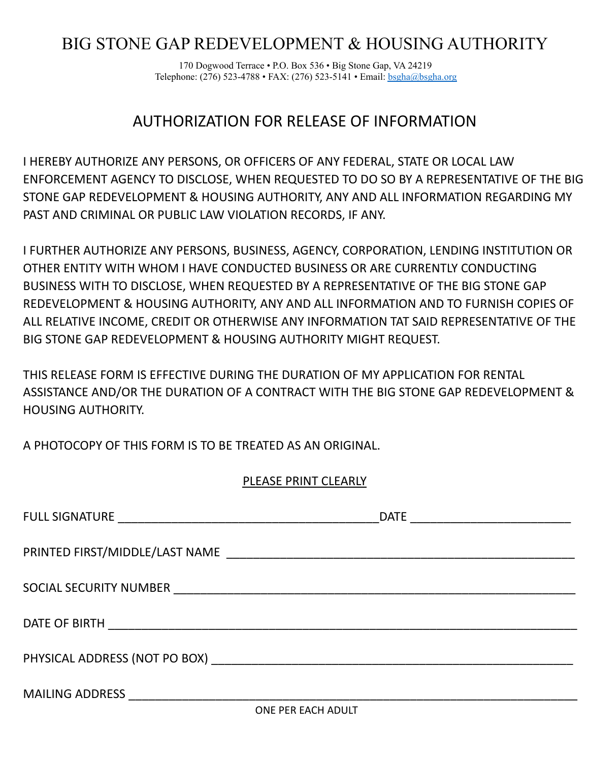# BIG STONE GAP REDEVELOPMENT & HOUSING AUTHORITY

170 Dogwood Terrace • P.O. Box 536 • Big Stone Gap, VA 24219 Telephone: (276) 523-4788 • FAX: (276) 523-5141 • Email: [bsgha@bsgha.org](mailto:bsgha@bsgha.org)

# AUTHORIZATION FOR RELEASE OF INFORMATION

I HEREBY AUTHORIZE ANY PERSONS, OR OFFICERS OF ANY FEDERAL, STATE OR LOCAL LAW ENFORCEMENT AGENCY TO DISCLOSE, WHEN REQUESTED TO DO SO BY A REPRESENTATIVE OF THE BIG STONE GAP REDEVELOPMENT & HOUSING AUTHORITY, ANY AND ALL INFORMATION REGARDING MY PAST AND CRIMINAL OR PUBLIC LAW VIOLATION RECORDS, IF ANY.

I FURTHER AUTHORIZE ANY PERSONS, BUSINESS, AGENCY, CORPORATION, LENDING INSTITUTION OR OTHER ENTITY WITH WHOM I HAVE CONDUCTED BUSINESS OR ARE CURRENTLY CONDUCTING BUSINESS WITH TO DISCLOSE, WHEN REQUESTED BY A REPRESENTATIVE OF THE BIG STONE GAP REDEVELOPMENT & HOUSING AUTHORITY, ANY AND ALL INFORMATION AND TO FURNISH COPIES OF ALL RELATIVE INCOME, CREDIT OR OTHERWISE ANY INFORMATION TAT SAID REPRESENTATIVE OF THE BIG STONE GAP REDEVELOPMENT & HOUSING AUTHORITY MIGHT REQUEST.

THIS RELEASE FORM IS EFFECTIVE DURING THE DURATION OF MY APPLICATION FOR RENTAL ASSISTANCE AND/OR THE DURATION OF A CONTRACT WITH THE BIG STONE GAP REDEVELOPMENT & HOUSING AUTHORITY.

A PHOTOCOPY OF THIS FORM IS TO BE TREATED AS AN ORIGINAL.

# PLEASE PRINT CLEARLY

| <b>MAILING ADDRESS</b> |  |
|------------------------|--|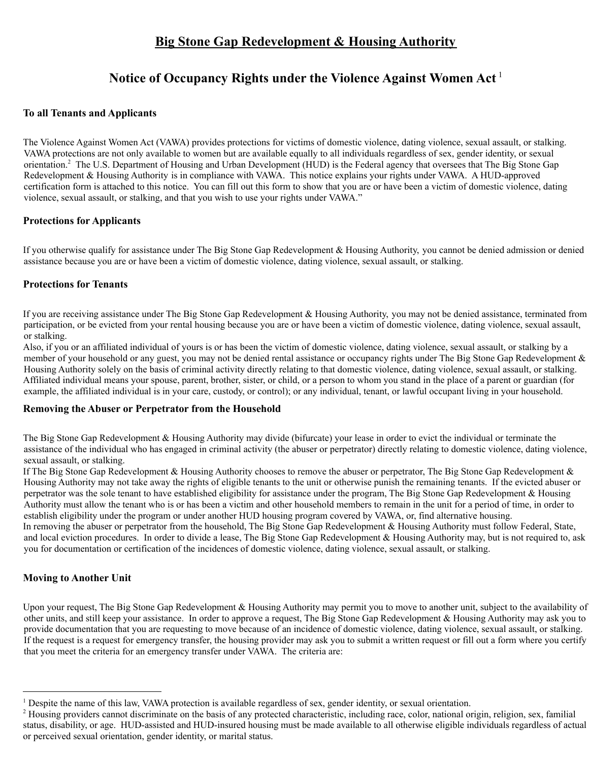# **Big Stone Gap Redevelopment & Housing Authority**

# **Notice of Occupancy Rights under the Violence Against Women Act** 1

#### **To all Tenants and Applicants**

The Violence Against Women Act (VAWA) provides protections for victims of domestic violence, dating violence, sexual assault, or stalking. VAWA protections are not only available to women but are available equally to all individuals regardless of sex, gender identity, or sexual orientation.<sup>2</sup> The U.S. Department of Housing and Urban Development (HUD) is the Federal agency that oversees that The Big Stone Gap Redevelopment & Housing Authority is in compliance with VAWA. This notice explains your rights under VAWA. A HUD-approved certification form is attached to this notice. You can fill out this form to show that you are or have been a victim of domestic violence, dating violence, sexual assault, or stalking, and that you wish to use your rights under VAWA."

#### **Protections for Applicants**

If you otherwise qualify for assistance under The Big Stone Gap Redevelopment & Housing Authority, you cannot be denied admission or denied assistance because you are or have been a victim of domestic violence, dating violence, sexual assault, or stalking.

#### **Protections for Tenants**

If you are receiving assistance under The Big Stone Gap Redevelopment & Housing Authority, you may not be denied assistance, terminated from participation, or be evicted from your rental housing because you are or have been a victim of domestic violence, dating violence, sexual assault, or stalking.

Also, if you or an affiliated individual of yours is or has been the victim of domestic violence, dating violence, sexual assault, or stalking by a member of your household or any guest, you may not be denied rental assistance or occupancy rights under The Big Stone Gap Redevelopment & Housing Authority solely on the basis of criminal activity directly relating to that domestic violence, dating violence, sexual assault, or stalking. Affiliated individual means your spouse, parent, brother, sister, or child, or a person to whom you stand in the place of a parent or guardian (for example, the affiliated individual is in your care, custody, or control); or any individual, tenant, or lawful occupant living in your household.

#### **Removing the Abuser or Perpetrator from the Household**

The Big Stone Gap Redevelopment & Housing Authority may divide (bifurcate) your lease in order to evict the individual or terminate the assistance of the individual who has engaged in criminal activity (the abuser or perpetrator) directly relating to domestic violence, dating violence, sexual assault, or stalking.

If The Big Stone Gap Redevelopment & Housing Authority chooses to remove the abuser or perpetrator, The Big Stone Gap Redevelopment & Housing Authority may not take away the rights of eligible tenants to the unit or otherwise punish the remaining tenants. If the evicted abuser or perpetrator was the sole tenant to have established eligibility for assistance under the program, The Big Stone Gap Redevelopment & Housing Authority must allow the tenant who is or has been a victim and other household members to remain in the unit for a period of time, in order to establish eligibility under the program or under another HUD housing program covered by VAWA, or, find alternative housing. In removing the abuser or perpetrator from the household, The Big Stone Gap Redevelopment & Housing Authority must follow Federal, State, and local eviction procedures. In order to divide a lease, The Big Stone Gap Redevelopment & Housing Authority may, but is not required to, ask you for documentation or certification of the incidences of domestic violence, dating violence, sexual assault, or stalking.

#### **Moving to Another Unit**

Upon your request, The Big Stone Gap Redevelopment & Housing Authority may permit you to move to another unit, subject to the availability of other units, and still keep your assistance. In order to approve a request, The Big Stone Gap Redevelopment & Housing Authority may ask you to provide documentation that you are requesting to move because of an incidence of domestic violence, dating violence, sexual assault, or stalking. If the request is a request for emergency transfer, the housing provider may ask you to submit a written request or fill out a form where you certify that you meet the criteria for an emergency transfer under VAWA. The criteria are:

<sup>1</sup> Despite the name of this law, VAWA protection is available regardless of sex, gender identity, or sexual orientation.

<sup>&</sup>lt;sup>2</sup> Housing providers cannot discriminate on the basis of any protected characteristic, including race, color, national origin, religion, sex, familial status, disability, or age. HUD-assisted and HUD-insured housing must be made available to all otherwise eligible individuals regardless of actual or perceived sexual orientation, gender identity, or marital status.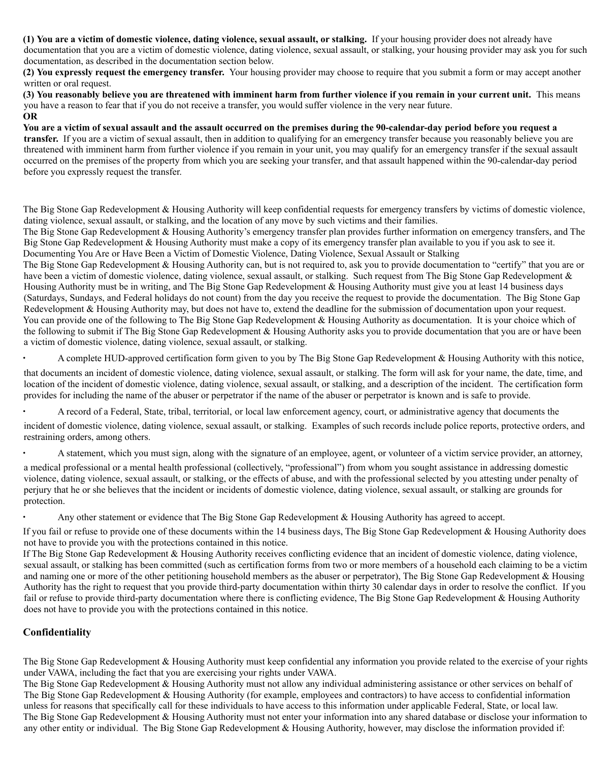(1) You are a victim of domestic violence, dating violence, sexual assault, or stalking. If your housing provider does not already have

documentation that you are a victim of domestic violence, dating violence, sexual assault, or stalking, your housing provider may ask you for such documentation, as described in the documentation section below.

**(2) You expressly request the emergency transfer.** Your housing provider may choose to require that you submit a form or may accept another written or oral request.

(3) You reasonably believe you are threatened with imminent harm from further violence if you remain in your current unit. This means you have a reason to fear that if you do not receive a transfer, you would suffer violence in the very near future. **OR**

You are a victim of sexual assault and the assault occurred on the premises during the 90-calendar-day period before you request a **transfer.** If you are a victim of sexual assault, then in addition to qualifying for an emergency transfer because you reasonably believe you are threatened with imminent harm from further violence if you remain in your unit, you may qualify for an emergency transfer if the sexual assault occurred on the premises of the property from which you are seeking your transfer, and that assault happened within the 90-calendar-day period before you expressly request the transfer.

The Big Stone Gap Redevelopment & Housing Authority will keep confidential requests for emergency transfers by victims of domestic violence, dating violence, sexual assault, or stalking, and the location of any move by such victims and their families.

The Big Stone Gap Redevelopment & Housing Authority's emergency transfer plan provides further information on emergency transfers, and The Big Stone Gap Redevelopment & Housing Authority must make a copy of its emergency transfer plan available to you if you ask to see it. Documenting You Are or Have Been a Victim of Domestic Violence, Dating Violence, Sexual Assault or Stalking

The Big Stone Gap Redevelopment & Housing Authority can, but is not required to, ask you to provide documentation to "certify" that you are or have been a victim of domestic violence, dating violence, sexual assault, or stalking. Such request from The Big Stone Gap Redevelopment & Housing Authority must be in writing, and The Big Stone Gap Redevelopment & Housing Authority must give you at least 14 business days (Saturdays, Sundays, and Federal holidays do not count) from the day you receive the request to provide the documentation. The Big Stone Gap Redevelopment & Housing Authority may, but does not have to, extend the deadline for the submission of documentation upon your request. You can provide one of the following to The Big Stone Gap Redevelopment & Housing Authority as documentation. It is your choice which of the following to submit if The Big Stone Gap Redevelopment & Housing Authority asks you to provide documentation that you are or have been a victim of domestic violence, dating violence, sexual assault, or stalking.

∙ A complete HUD-approved certification form given to you by The Big Stone Gap Redevelopment & Housing Authority with this notice,

that documents an incident of domestic violence, dating violence, sexual assault, or stalking. The form will ask for your name, the date, time, and location of the incident of domestic violence, dating violence, sexual assault, or stalking, and a description of the incident. The certification form provides for including the name of the abuser or perpetrator if the name of the abuser or perpetrator is known and is safe to provide.

∙ A record of a Federal, State, tribal, territorial, or local law enforcement agency, court, or administrative agency that documents the

incident of domestic violence, dating violence, sexual assault, or stalking. Examples of such records include police reports, protective orders, and restraining orders, among others.

∙ A statement, which you must sign, along with the signature of an employee, agent, or volunteer of a victim service provider, an attorney,

a medical professional or a mental health professional (collectively, "professional") from whom you sought assistance in addressing domestic violence, dating violence, sexual assault, or stalking, or the effects of abuse, and with the professional selected by you attesting under penalty of perjury that he or she believes that the incident or incidents of domestic violence, dating violence, sexual assault, or stalking are grounds for protection.

∙ Any other statement or evidence that The Big Stone Gap Redevelopment & Housing Authority has agreed to accept.

If you fail or refuse to provide one of these documents within the 14 business days, The Big Stone Gap Redevelopment & Housing Authority does not have to provide you with the protections contained in this notice.

If The Big Stone Gap Redevelopment & Housing Authority receives conflicting evidence that an incident of domestic violence, dating violence, sexual assault, or stalking has been committed (such as certification forms from two or more members of a household each claiming to be a victim and naming one or more of the other petitioning household members as the abuser or perpetrator), The Big Stone Gap Redevelopment & Housing Authority has the right to request that you provide third-party documentation within thirty 30 calendar days in order to resolve the conflict. If you fail or refuse to provide third-party documentation where there is conflicting evidence, The Big Stone Gap Redevelopment & Housing Authority does not have to provide you with the protections contained in this notice.

# **Confidentiality**

The Big Stone Gap Redevelopment & Housing Authority must keep confidential any information you provide related to the exercise of your rights under VAWA, including the fact that you are exercising your rights under VAWA.

The Big Stone Gap Redevelopment & Housing Authority must not allow any individual administering assistance or other services on behalf of The Big Stone Gap Redevelopment & Housing Authority (for example, employees and contractors) to have access to confidential information unless for reasons that specifically call for these individuals to have access to this information under applicable Federal, State, or local law. The Big Stone Gap Redevelopment & Housing Authority must not enter your information into any shared database or disclose your information to any other entity or individual. The Big Stone Gap Redevelopment & Housing Authority, however, may disclose the information provided if: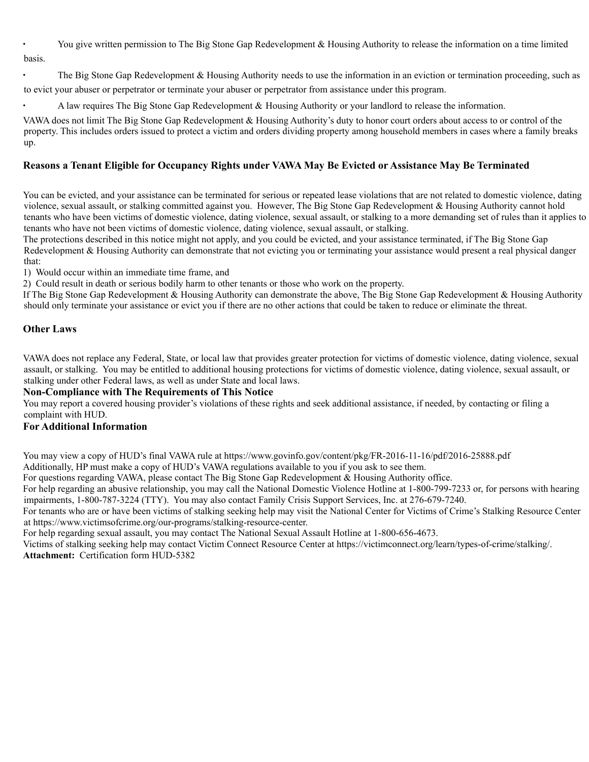∙ You give written permission to The Big Stone Gap Redevelopment & Housing Authority to release the information on a time limited basis.

The Big Stone Gap Redevelopment & Housing Authority needs to use the information in an eviction or termination proceeding, such as to evict your abuser or perpetrator or terminate your abuser or perpetrator from assistance under this program.

∙ A law requires The Big Stone Gap Redevelopment & Housing Authority or your landlord to release the information.

VAWA does not limit The Big Stone Gap Redevelopment & Housing Authority's duty to honor court orders about access to or control of the property. This includes orders issued to protect a victim and orders dividing property among household members in cases where a family breaks up.

#### **Reasons a Tenant Eligible for Occupancy Rights under VAWA May Be Evicted or Assistance May Be Terminated**

You can be evicted, and your assistance can be terminated for serious or repeated lease violations that are not related to domestic violence, dating violence, sexual assault, or stalking committed against you. However, The Big Stone Gap Redevelopment & Housing Authority cannot hold tenants who have been victims of domestic violence, dating violence, sexual assault, or stalking to a more demanding set of rules than it applies to tenants who have not been victims of domestic violence, dating violence, sexual assault, or stalking.

The protections described in this notice might not apply, and you could be evicted, and your assistance terminated, if The Big Stone Gap Redevelopment & Housing Authority can demonstrate that not evicting you or terminating your assistance would present a real physical danger that:

1) Would occur within an immediate time frame, and

2) Could result in death or serious bodily harm to other tenants or those who work on the property.

If The Big Stone Gap Redevelopment & Housing Authority can demonstrate the above, The Big Stone Gap Redevelopment & Housing Authority should only terminate your assistance or evict you if there are no other actions that could be taken to reduce or eliminate the threat.

#### **Other Laws**

VAWA does not replace any Federal, State, or local law that provides greater protection for victims of domestic violence, dating violence, sexual assault, or stalking. You may be entitled to additional housing protections for victims of domestic violence, dating violence, sexual assault, or stalking under other Federal laws, as well as under State and local laws.

#### **Non-Compliance with The Requirements of This Notice**

You may report a covered housing provider's violations of these rights and seek additional assistance, if needed, by contacting or filing a complaint with HUD.

#### **For Additional Information**

You may view a copy of HUD's final VAWA rule at https://www.govinfo.gov/content/pkg/FR-2016-11-16/pdf/2016-25888.pdf Additionally, HP must make a copy of HUD's VAWA regulations available to you if you ask to see them.

For questions regarding VAWA, please contact The Big Stone Gap Redevelopment & Housing Authority office.

For help regarding an abusive relationship, you may call the National Domestic Violence Hotline at 1-800-799-7233 or, for persons with hearing impairments, 1-800-787-3224 (TTY). You may also contact Family Crisis Support Services, Inc. at 276-679-7240.

For tenants who are or have been victims of stalking seeking help may visit the National Center for Victims of Crime's Stalking Resource Center at https://www.victimsofcrime.org/our-programs/stalking-resource-center.

For help regarding sexual assault, you may contact The National Sexual Assault Hotline at 1-800-656-4673.

Victims of stalking seeking help may contact Victim Connect Resource Center at https://victimconnect.org/learn/types-of-crime/stalking/. **Attachment:** Certification form HUD-5382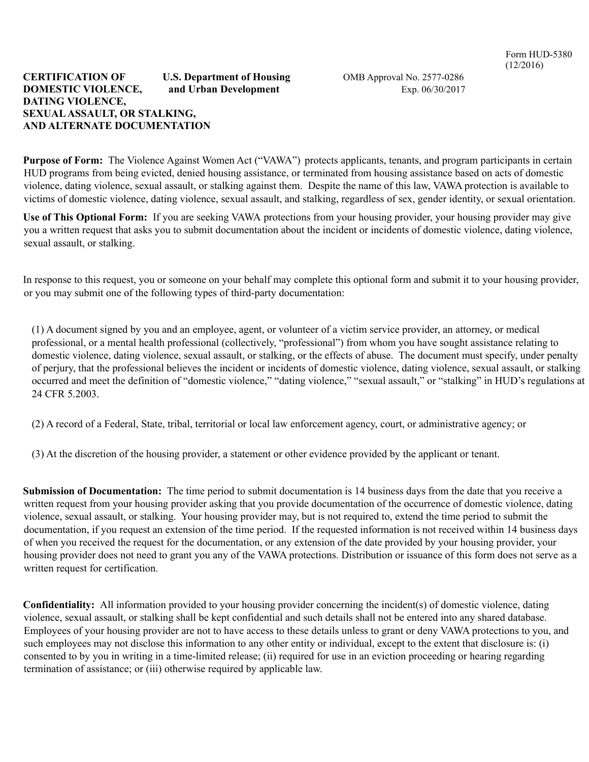#### **CERTIFICATION OF U.S. Department of Housing** OMB Approval No. 2577-0286 **DOMESTIC VIOLENCE,** and **Urban Development** Exp. 06/30/2017 **DATING VIOLENCE, SEXUALASSAULT, OR STALKING, AND ALTERNATE DOCUMENTATION**

**Purpose of Form:** The Violence Against Women Act ("VAWA") protects applicants, tenants, and program participants in certain HUD programs from being evicted, denied housing assistance, or terminated from housing assistance based on acts of domestic violence, dating violence, sexual assault, or stalking against them. Despite the name of this law, VAWA protection is available to victims of domestic violence, dating violence, sexual assault, and stalking, regardless of sex, gender identity, or sexual orientation.

**Use of This Optional Form:** If you are seeking VAWA protections from your housing provider, your housing provider may give you a written request that asks you to submit documentation about the incident or incidents of domestic violence, dating violence, sexual assault, or stalking.

In response to this request, you or someone on your behalf may complete this optional form and submit it to your housing provider, or you may submit one of the following types of third-party documentation:

(1) A document signed by you and an employee, agent, or volunteer of a victim service provider, an attorney, or medical professional, or a mental health professional (collectively, "professional") from whom you have sought assistance relating to domestic violence, dating violence, sexual assault, or stalking, or the effects of abuse. The document must specify, under penalty of perjury, that the professional believes the incident or incidents of domestic violence, dating violence, sexual assault, or stalking occurred and meet the definition of "domestic violence," "dating violence," "sexual assault," or "stalking" in HUD's regulations at 24 CFR 5.2003.

(2) A record of a Federal, State, tribal, territorial or local law enforcement agency, court, or administrative agency; or

(3) At the discretion of the housing provider, a statement or other evidence provided by the applicant or tenant.

**Submission of Documentation:** The time period to submit documentation is 14 business days from the date that you receive a written request from your housing provider asking that you provide documentation of the occurrence of domestic violence, dating violence, sexual assault, or stalking. Your housing provider may, but is not required to, extend the time period to submit the documentation, if you request an extension of the time period. If the requested information is not received within 14 business days of when you received the request for the documentation, or any extension of the date provided by your housing provider, your housing provider does not need to grant you any of the VAWA protections. Distribution or issuance of this form does not serve as a written request for certification.

**Confidentiality:** All information provided to your housing provider concerning the incident(s) of domestic violence, dating violence, sexual assault, or stalking shall be kept confidential and such details shall not be entered into any shared database. Employees of your housing provider are not to have access to these details unless to grant or deny VAWA protections to you, and such employees may not disclose this information to any other entity or individual, except to the extent that disclosure is: (i) consented to by you in writing in a time-limited release; (ii) required for use in an eviction proceeding or hearing regarding termination of assistance; or (iii) otherwise required by applicable law.